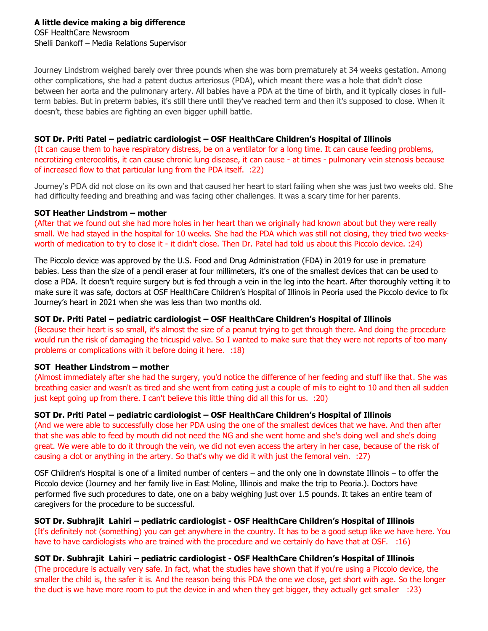Journey Lindstrom weighed barely over three pounds when she was born prematurely at 34 weeks gestation. Among other complications, she had a patent ductus arteriosus (PDA), which meant there was a hole that didn't close between her aorta and the pulmonary artery. All babies have a PDA at the time of birth, and it typically closes in fullterm babies. But in preterm babies, it's still there until they've reached term and then it's supposed to close. When it doesn't, these babies are fighting an even bigger uphill battle.

# **SOT Dr. Priti Patel – pediatric cardiologist – OSF HealthCare Children's Hospital of Illinois**

(It can cause them to have respiratory distress, be on a ventilator for a long time. It can cause feeding problems, necrotizing enterocolitis, it can cause chronic lung disease, it can cause - at times - pulmonary vein stenosis because of increased flow to that particular lung from the PDA itself. :22)

Journey's PDA did not close on its own and that caused her heart to start failing when she was just two weeks old. She had difficulty feeding and breathing and was facing other challenges. It was a scary time for her parents.

#### **SOT Heather Lindstrom – mother**

(After that we found out she had more holes in her heart than we originally had known about but they were really small. We had stayed in the hospital for 10 weeks. She had the PDA which was still not closing, they tried two weeksworth of medication to try to close it - it didn't close. Then Dr. Patel had told us about this Piccolo device. :24)

The Piccolo device was approved by the U.S. Food and Drug Administration (FDA) in 2019 for use in premature babies. Less than the size of a pencil eraser at four millimeters, it's one of the smallest devices that can be used to close a PDA. It doesn't require surgery but is fed through a vein in the leg into the heart. After thoroughly vetting it to make sure it was safe, doctors at OSF HealthCare Children's Hospital of Illinois in Peoria used the Piccolo device to fix Journey's heart in 2021 when she was less than two months old.

## **SOT Dr. Priti Patel – pediatric cardiologist – OSF HealthCare Children's Hospital of Illinois**

(Because their heart is so small, it's almost the size of a peanut trying to get through there. And doing the procedure would run the risk of damaging the tricuspid valve. So I wanted to make sure that they were not reports of too many problems or complications with it before doing it here. :18)

## **SOT Heather Lindstrom – mother**

(Almost immediately after she had the surgery, you'd notice the difference of her feeding and stuff like that. She was breathing easier and wasn't as tired and she went from eating just a couple of mils to eight to 10 and then all sudden just kept going up from there. I can't believe this little thing did all this for us. :20)

## **SOT Dr. Priti Patel – pediatric cardiologist – OSF HealthCare Children's Hospital of Illinois**

(And we were able to successfully close her PDA using the one of the smallest devices that we have. And then after that she was able to feed by mouth did not need the NG and she went home and she's doing well and she's doing great. We were able to do it through the vein, we did not even access the artery in her case, because of the risk of causing a clot or anything in the artery. So that's why we did it with just the femoral vein. :27)

OSF Children's Hospital is one of a limited number of centers – and the only one in downstate Illinois – to offer the Piccolo device (Journey and her family live in East Moline, Illinois and make the trip to Peoria.). Doctors have performed five such procedures to date, one on a baby weighing just over 1.5 pounds. It takes an entire team of caregivers for the procedure to be successful.

**SOT Dr. Subhrajit Lahiri – pediatric cardiologist - OSF HealthCare Children's Hospital of Illinois** (It's definitely not (something) you can get anywhere in the country. It has to be a good setup like we have here. You have to have cardiologists who are trained with the procedure and we certainly do have that at OSF. : 16)

## **SOT Dr. Subhrajit Lahiri – pediatric cardiologist - OSF HealthCare Children's Hospital of Illinois**

(The procedure is actually very safe. In fact, what the studies have shown that if you're using a Piccolo device, the smaller the child is, the safer it is. And the reason being this PDA the one we close, get short with age. So the longer the duct is we have more room to put the device in and when they get bigger, they actually get smaller :23)